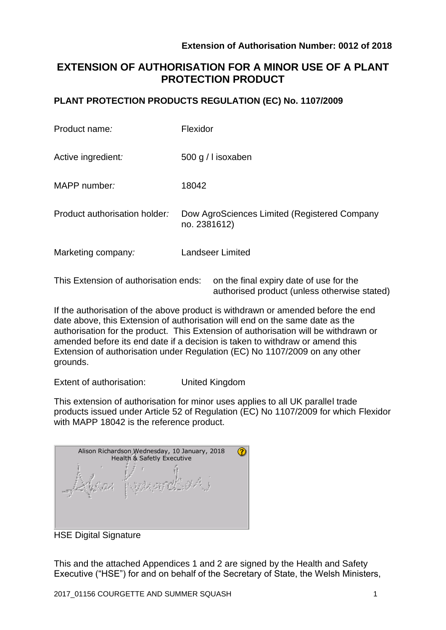authorised product (unless otherwise stated)

# **EXTENSION OF AUTHORISATION FOR A MINOR USE OF A PLANT PROTECTION PRODUCT**

### **PLANT PROTECTION PRODUCTS REGULATION (EC) No. 1107/2009**

| Product name:                         | Flexidor                                                     |  |  |
|---------------------------------------|--------------------------------------------------------------|--|--|
| Active ingredient:                    | 500 g / l isoxaben                                           |  |  |
| MAPP number:                          | 18042                                                        |  |  |
| Product authorisation holder:         | Dow AgroSciences Limited (Registered Company<br>no. 2381612) |  |  |
| Marketing company:                    | <b>Landseer Limited</b>                                      |  |  |
| This Extension of authorisation ends: | on the final expiry date of use for the                      |  |  |

If the authorisation of the above product is withdrawn or amended before the end date above, this Extension of authorisation will end on the same date as the authorisation for the product. This Extension of authorisation will be withdrawn or amended before its end date if a decision is taken to withdraw or amend this Extension of authorisation under Regulation (EC) No 1107/2009 on any other grounds.

Extent of authorisation: United Kingdom

This extension of authorisation for minor uses applies to all UK parallel trade products issued under Article 52 of Regulation (EC) No 1107/2009 for which Flexidor with MAPP 18042 is the reference product.

| Alison Richardson Wednesday, 10 January, 2018<br>Health & Safetly Executive |  |  |  |  |  |  |  |
|-----------------------------------------------------------------------------|--|--|--|--|--|--|--|
|                                                                             |  |  |  |  |  |  |  |

HSE Digital Signature

This and the attached Appendices 1 and 2 are signed by the Health and Safety Executive ("HSE") for and on behalf of the Secretary of State, the Welsh Ministers,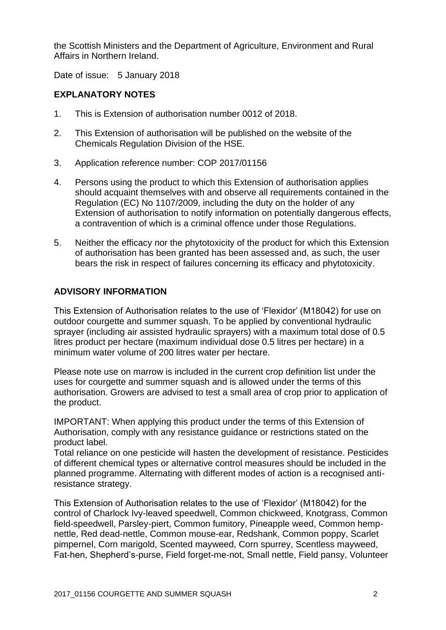the Scottish Ministers and the Department of Agriculture, Environment and Rural Affairs in Northern Ireland.

Date of issue: 5 January 2018

### **EXPLANATORY NOTES**

- 1. This is Extension of authorisation number 0012 of 2018.
- 2. This Extension of authorisation will be published on the website of the Chemicals Regulation Division of the HSE.
- 3. Application reference number: COP 2017/01156
- 4. Persons using the product to which this Extension of authorisation applies should acquaint themselves with and observe all requirements contained in the Regulation (EC) No 1107/2009, including the duty on the holder of any Extension of authorisation to notify information on potentially dangerous effects, a contravention of which is a criminal offence under those Regulations.
- 5. Neither the efficacy nor the phytotoxicity of the product for which this Extension of authorisation has been granted has been assessed and, as such, the user bears the risk in respect of failures concerning its efficacy and phytotoxicity.

### **ADVISORY INFORMATION**

This Extension of Authorisation relates to the use of 'Flexidor' (M18042) for use on outdoor courgette and summer squash. To be applied by conventional hydraulic sprayer (including air assisted hydraulic sprayers) with a maximum total dose of 0.5 litres product per hectare (maximum individual dose 0.5 litres per hectare) in a minimum water volume of 200 litres water per hectare.

Please note use on marrow is included in the current crop definition list under the uses for courgette and summer squash and is allowed under the terms of this authorisation. Growers are advised to test a small area of crop prior to application of the product.

IMPORTANT: When applying this product under the terms of this Extension of Authorisation, comply with any resistance guidance or restrictions stated on the product label.

Total reliance on one pesticide will hasten the development of resistance. Pesticides of different chemical types or alternative control measures should be included in the planned programme. Alternating with different modes of action is a recognised antiresistance strategy.

This Extension of Authorisation relates to the use of 'Flexidor' (M18042) for the control of Charlock Ivy-leaved speedwell, Common chickweed, Knotgrass, Common field-speedwell, Parsley-piert, Common fumitory, Pineapple weed, Common hempnettle, Red dead-nettle, Common mouse-ear, Redshank, Common poppy, Scarlet pimpernel, Corn marigold, Scented mayweed, Corn spurrey, Scentless mayweed, Fat-hen, Shepherd's-purse, Field forget-me-not, Small nettle, Field pansy, Volunteer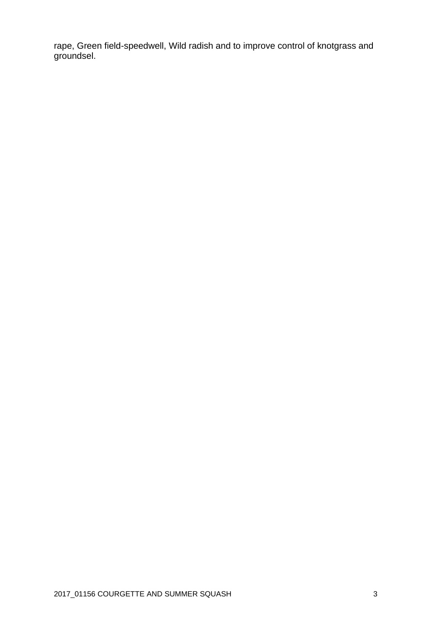rape, Green field-speedwell, Wild radish and to improve control of knotgrass and groundsel.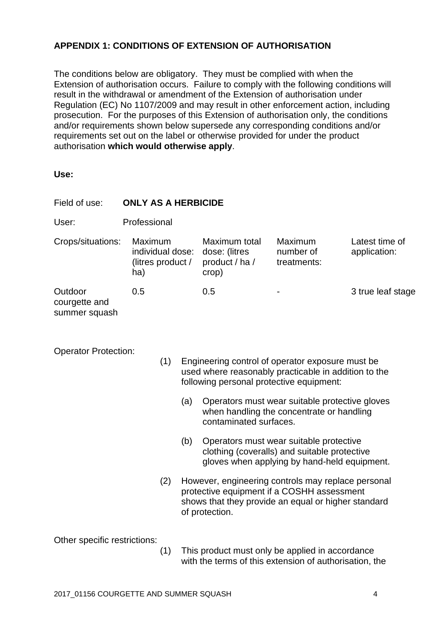## **APPENDIX 1: CONDITIONS OF EXTENSION OF AUTHORISATION**

The conditions below are obligatory. They must be complied with when the Extension of authorisation occurs. Failure to comply with the following conditions will result in the withdrawal or amendment of the Extension of authorisation under Regulation (EC) No 1107/2009 and may result in other enforcement action, including prosecution. For the purposes of this Extension of authorisation only, the conditions and/or requirements shown below supersede any corresponding conditions and/or requirements set out on the label or otherwise provided for under the product authorisation **which would otherwise apply**.

**Use:**

| Field of use:                                                                                                                                                                              | <b>ONLY AS A HERBICIDE</b>                                                                                                   |     |                                                                                                                                         |                                                                                                                                                                           |                                     |                                |  |  |  |
|--------------------------------------------------------------------------------------------------------------------------------------------------------------------------------------------|------------------------------------------------------------------------------------------------------------------------------|-----|-----------------------------------------------------------------------------------------------------------------------------------------|---------------------------------------------------------------------------------------------------------------------------------------------------------------------------|-------------------------------------|--------------------------------|--|--|--|
| User:                                                                                                                                                                                      | Professional                                                                                                                 |     |                                                                                                                                         |                                                                                                                                                                           |                                     |                                |  |  |  |
| Crops/situations:                                                                                                                                                                          | Maximum<br>individual dose:<br>(litres product /<br>ha)                                                                      |     |                                                                                                                                         | Maximum total<br>dose: (litres<br>product / ha /<br>crop)                                                                                                                 | Maximum<br>number of<br>treatments: | Latest time of<br>application: |  |  |  |
| Outdoor<br>courgette and<br>summer squash                                                                                                                                                  | 0.5                                                                                                                          |     |                                                                                                                                         | 0.5                                                                                                                                                                       |                                     | 3 true leaf stage              |  |  |  |
| <b>Operator Protection:</b><br>(1)<br>Engineering control of operator exposure must be<br>used where reasonably practicable in addition to the<br>following personal protective equipment: |                                                                                                                              |     |                                                                                                                                         |                                                                                                                                                                           |                                     |                                |  |  |  |
|                                                                                                                                                                                            | (a)<br>Operators must wear suitable protective gloves<br>when handling the concentrate or handling<br>contaminated surfaces. |     |                                                                                                                                         |                                                                                                                                                                           |                                     |                                |  |  |  |
| (b)                                                                                                                                                                                        |                                                                                                                              |     | Operators must wear suitable protective<br>clothing (coveralls) and suitable protective<br>gloves when applying by hand-held equipment. |                                                                                                                                                                           |                                     |                                |  |  |  |
|                                                                                                                                                                                            |                                                                                                                              | (2) |                                                                                                                                         | However, engineering controls may replace personal<br>protective equipment if a COSHH assessment<br>shows that they provide an equal or higher standard<br>of protection. |                                     |                                |  |  |  |
| Other specific restrictions:                                                                                                                                                               |                                                                                                                              |     |                                                                                                                                         |                                                                                                                                                                           |                                     |                                |  |  |  |

(1) This product must only be applied in accordance with the terms of this extension of authorisation, the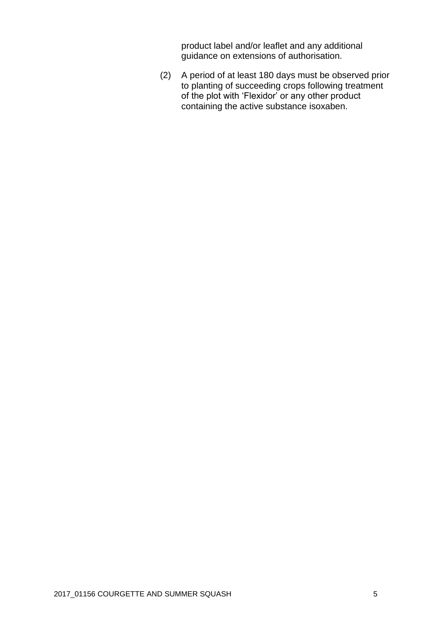product label and/or leaflet and any additional guidance on extensions of authorisation.

(2) A period of at least 180 days must be observed prior to planting of succeeding crops following treatment of the plot with 'Flexidor' or any other product containing the active substance isoxaben.